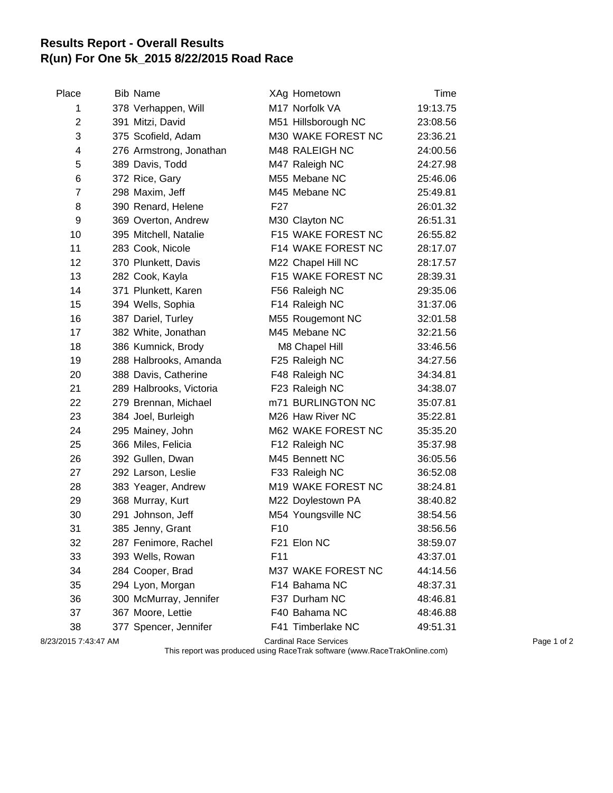## **Results Report - Overall Results R(un) For One 5k\_2015 8/22/2015 Road Race**

| Place          | <b>Bib Name</b>         |                 | XAg Hometown        | Time     |
|----------------|-------------------------|-----------------|---------------------|----------|
| 1              | 378 Verhappen, Will     |                 | M17 Norfolk VA      | 19:13.75 |
| $\overline{2}$ | 391 Mitzi, David        |                 | M51 Hillsborough NC | 23:08.56 |
| 3              | 375 Scofield, Adam      |                 | M30 WAKE FOREST NC  | 23:36.21 |
| 4              | 276 Armstrong, Jonathan |                 | M48 RALEIGH NC      | 24:00.56 |
| 5              | 389 Davis, Todd         |                 | M47 Raleigh NC      | 24:27.98 |
| 6              | 372 Rice, Gary          |                 | M55 Mebane NC       | 25:46.06 |
| 7              | 298 Maxim, Jeff         |                 | M45 Mebane NC       | 25:49.81 |
| 8              | 390 Renard, Helene      | F <sub>27</sub> |                     | 26:01.32 |
| 9              | 369 Overton, Andrew     |                 | M30 Clayton NC      | 26:51.31 |
| 10             | 395 Mitchell, Natalie   |                 | F15 WAKE FOREST NC  | 26:55.82 |
| 11             | 283 Cook, Nicole        |                 | F14 WAKE FOREST NC  | 28:17.07 |
| 12             | 370 Plunkett, Davis     |                 | M22 Chapel Hill NC  | 28:17.57 |
| 13             | 282 Cook, Kayla         |                 | F15 WAKE FOREST NC  | 28:39.31 |
| 14             | 371 Plunkett, Karen     |                 | F56 Raleigh NC      | 29:35.06 |
| 15             | 394 Wells, Sophia       |                 | F14 Raleigh NC      | 31:37.06 |
| 16             | 387 Dariel, Turley      |                 | M55 Rougemont NC    | 32:01.58 |
| 17             | 382 White, Jonathan     |                 | M45 Mebane NC       | 32:21.56 |
| 18             | 386 Kumnick, Brody      |                 | M8 Chapel Hill      | 33:46.56 |
| 19             | 288 Halbrooks, Amanda   |                 | F25 Raleigh NC      | 34:27.56 |
| 20             | 388 Davis, Catherine    |                 | F48 Raleigh NC      | 34:34.81 |
| 21             | 289 Halbrooks, Victoria |                 | F23 Raleigh NC      | 34:38.07 |
| 22             | 279 Brennan, Michael    |                 | m71 BURLINGTON NC   | 35:07.81 |
| 23             | 384 Joel, Burleigh      |                 | M26 Haw River NC    | 35:22.81 |
| 24             | 295 Mainey, John        |                 | M62 WAKE FOREST NC  | 35:35.20 |
| 25             | 366 Miles, Felicia      |                 | F12 Raleigh NC      | 35:37.98 |
| 26             | 392 Gullen, Dwan        |                 | M45 Bennett NC      | 36:05.56 |
| 27             | 292 Larson, Leslie      |                 | F33 Raleigh NC      | 36:52.08 |
| 28             | 383 Yeager, Andrew      |                 | M19 WAKE FOREST NC  | 38:24.81 |
| 29             | 368 Murray, Kurt        |                 | M22 Doylestown PA   | 38:40.82 |
| 30             | 291 Johnson, Jeff       |                 | M54 Youngsville NC  | 38:54.56 |
| 31             | 385 Jenny, Grant        | F <sub>10</sub> |                     | 38:56.56 |
| 32             | 287 Fenimore, Rachel    |                 | F21 Elon NC         | 38:59.07 |
| 33             | 393 Wells, Rowan        | F11             |                     | 43:37.01 |
| 34             | 284 Cooper, Brad        |                 | M37 WAKE FOREST NC  | 44:14.56 |
| 35             | 294 Lyon, Morgan        |                 | F14 Bahama NC       | 48:37.31 |
| 36             | 300 McMurray, Jennifer  |                 | F37 Durham NC       | 48:46.81 |
| 37             | 367 Moore, Lettie       |                 | F40 Bahama NC       | 48:46.88 |
| 38             | 377 Spencer, Jennifer   |                 | F41 Timberlake NC   | 49:51.31 |
|                |                         |                 |                     |          |

8/23/2015 7:43:47 AM Cardinal Race Services Page 1 of 2

This report was produced using RaceTrak software (www.RaceTrakOnline.com)